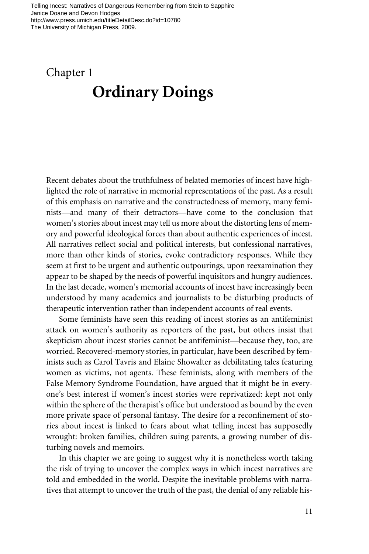Telling Incest: Narratives of Dangerous Remembering from Stein to Sapphire Janice Doane and Devon Hodges http://www.press.umich.edu/titleDetailDesc.do?id=10780 The University of Michigan Press, 2009.

## Chapter 1 **Ordinary Doings**

Recent debates about the truthfulness of belated memories of incest have highlighted the role of narrative in memorial representations of the past. As a result of this emphasis on narrative and the constructedness of memory, many feminists—and many of their detractors—have come to the conclusion that women's stories about incest may tell us more about the distorting lens of memory and powerful ideological forces than about authentic experiences of incest. All narratives reflect social and political interests, but confessional narratives, more than other kinds of stories, evoke contradictory responses. While they seem at first to be urgent and authentic outpourings, upon reexamination they appear to be shaped by the needs of powerful inquisitors and hungry audiences. In the last decade, women's memorial accounts of incest have increasingly been understood by many academics and journalists to be disturbing products of therapeutic intervention rather than independent accounts of real events.

Some feminists have seen this reading of incest stories as an antifeminist attack on women's authority as reporters of the past, but others insist that skepticism about incest stories cannot be antifeminist—because they, too, are worried. Recovered-memory stories, in particular, have been described by feminists such as Carol Tavris and Elaine Showalter as debilitating tales featuring women as victims, not agents. These feminists, along with members of the False Memory Syndrome Foundation, have argued that it might be in everyone's best interest if women's incest stories were reprivatized: kept not only within the sphere of the therapist's office but understood as bound by the even more private space of personal fantasy. The desire for a reconfinement of stories about incest is linked to fears about what telling incest has supposedly wrought: broken families, children suing parents, a growing number of disturbing novels and memoirs.

In this chapter we are going to suggest why it is nonetheless worth taking the risk of trying to uncover the complex ways in which incest narratives are told and embedded in the world. Despite the inevitable problems with narratives that attempt to uncover the truth of the past, the denial of any reliable his-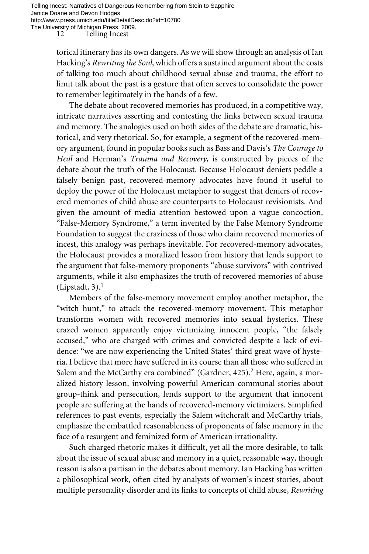12<sup>Telling</sup> Incest Telling Incest: Narratives of Dangerous Remembering from Stein to Sapphire Janice Doane and Devon Hodges http://www.press.umich.edu/titleDetailDesc.do?id=10780 The University of Michigan Press, 2009.

> torical itinerary has its own dangers. As we will show through an analysis of Ian Hacking's *Rewriting the Soul,* which offers a sustained argument about the costs of talking too much about childhood sexual abuse and trauma, the effort to limit talk about the past is a gesture that often serves to consolidate the power to remember legitimately in the hands of a few.

> The debate about recovered memories has produced, in a competitive way, intricate narratives asserting and contesting the links between sexual trauma and memory. The analogies used on both sides of the debate are dramatic, historical, and very rhetorical. So, for example, a segment of the recovered-memory argument, found in popular books such as Bass and Davis's *The Courage to Heal* and Herman's *Trauma and Recovery,* is constructed by pieces of the debate about the truth of the Holocaust. Because Holocaust deniers peddle a falsely benign past, recovered-memory advocates have found it useful to deploy the power of the Holocaust metaphor to suggest that deniers of recovered memories of child abuse are counterparts to Holocaust revisionists. And given the amount of media attention bestowed upon a vague concoction, "False-Memory Syndrome," a term invented by the False Memory Syndrome Foundation to suggest the craziness of those who claim recovered memories of incest, this analogy was perhaps inevitable. For recovered-memory advocates, the Holocaust provides a moralized lesson from history that lends support to the argument that false-memory proponents "abuse survivors" with contrived arguments, while it also emphasizes the truth of recovered memories of abuse  $(Lipstadt, 3).<sup>1</sup>$

> Members of the false-memory movement employ another metaphor, the "witch hunt," to attack the recovered-memory movement. This metaphor transforms women with recovered memories into sexual hysterics. These crazed women apparently enjoy victimizing innocent people, "the falsely accused," who are charged with crimes and convicted despite a lack of evidence: "we are now experiencing the United States' third great wave of hysteria. I believe that more have suffered in its course than all those who suffered in Salem and the McCarthy era combined" (Gardner, 425).<sup>2</sup> Here, again, a moralized history lesson, involving powerful American communal stories about group-think and persecution, lends support to the argument that innocent people are suffering at the hands of recovered-memory victimizers. Simplified references to past events, especially the Salem witchcraft and McCarthy trials, emphasize the embattled reasonableness of proponents of false memory in the face of a resurgent and feminized form of American irrationality.

> Such charged rhetoric makes it difficult, yet all the more desirable, to talk about the issue of sexual abuse and memory in a quiet, reasonable way, though reason is also a partisan in the debates about memory. Ian Hacking has written a philosophical work, often cited by analysts of women's incest stories, about multiple personality disorder and its links to concepts of child abuse, *Rewriting*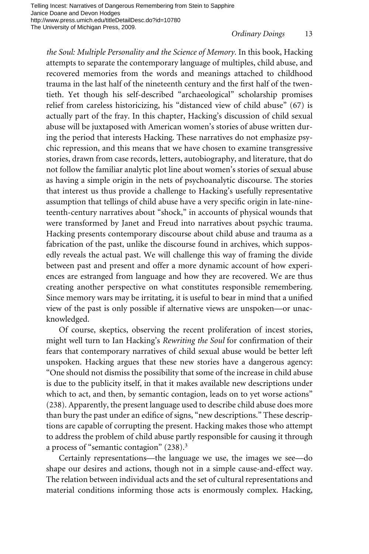Telling Incest: Narratives of Dangerous Remembering from Stein to Sapphire Janice Doane and Devon Hodges http://www.press.umich.edu/titleDetailDesc.do?id=10780 The University of Michigan Press, 2009.

## *Ordinary Doings* 13

*the Soul: Multiple Personality and the Science of Memory.* In this book, Hacking attempts to separate the contemporary language of multiples, child abuse, and recovered memories from the words and meanings attached to childhood trauma in the last half of the nineteenth century and the first half of the twentieth. Yet though his self-described "archaeological" scholarship promises relief from careless historicizing, his "distanced view of child abuse" (67) is actually part of the fray. In this chapter, Hacking's discussion of child sexual abuse will be juxtaposed with American women's stories of abuse written during the period that interests Hacking. These narratives do not emphasize psychic repression, and this means that we have chosen to examine transgressive stories, drawn from case records, letters, autobiography, and literature, that do not follow the familiar analytic plot line about women's stories of sexual abuse as having a simple origin in the nets of psychoanalytic discourse. The stories that interest us thus provide a challenge to Hacking's usefully representative assumption that tellings of child abuse have a very specific origin in late-nineteenth-century narratives about "shock," in accounts of physical wounds that were transformed by Janet and Freud into narratives about psychic trauma. Hacking presents contemporary discourse about child abuse and trauma as a fabrication of the past, unlike the discourse found in archives, which supposedly reveals the actual past. We will challenge this way of framing the divide between past and present and offer a more dynamic account of how experiences are estranged from language and how they are recovered. We are thus creating another perspective on what constitutes responsible remembering. Since memory wars may be irritating, it is useful to bear in mind that a unified view of the past is only possible if alternative views are unspoken—or unacknowledged.

Of course, skeptics, observing the recent proliferation of incest stories, might well turn to Ian Hacking's *Rewriting the Soul* for confirmation of their fears that contemporary narratives of child sexual abuse would be better left unspoken. Hacking argues that these new stories have a dangerous agency: "One should not dismiss the possibility that some of the increase in child abuse is due to the publicity itself, in that it makes available new descriptions under which to act, and then, by semantic contagion, leads on to yet worse actions" (238). Apparently, the present language used to describe child abuse does more than bury the past under an edifice of signs, "new descriptions." These descriptions are capable of corrupting the present. Hacking makes those who attempt to address the problem of child abuse partly responsible for causing it through a process of "semantic contagion" (238).<sup>3</sup>

Certainly representations—the language we use, the images we see—do shape our desires and actions, though not in a simple cause-and-effect way. The relation between individual acts and the set of cultural representations and material conditions informing those acts is enormously complex. Hacking,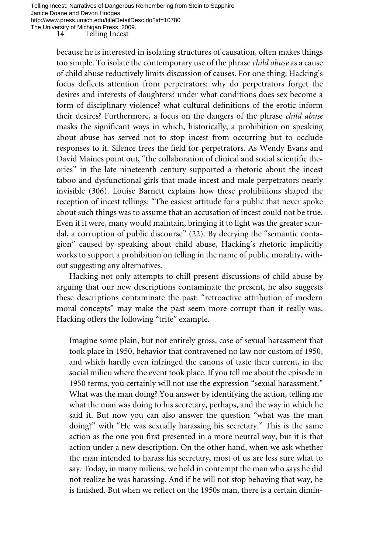because he is interested in isolating structures of causation, often makes things too simple. To isolate the contemporary use of the phrase *child abuse* as a cause of child abuse reductively limits discussion of causes. For one thing, Hacking's focus deflects attention from perpetrators: why do perpetrators forget the desires and interests of daughters? under what conditions does sex become a form of disciplinary violence? what cultural definitions of the erotic inform their desires? Furthermore, a focus on the dangers of the phrase *child abuse* masks the significant ways in which, historically, a prohibition on speaking about abuse has served not to stop incest from occurring but to occlude responses to it. Silence frees the field for perpetrators. As Wendy Evans and David Maines point out, "the collaboration of clinical and social scientific theories" in the late nineteenth century supported a rhetoric about the incest taboo and dysfunctional girls that made incest and male perpetrators nearly invisible (306). Louise Barnett explains how these prohibitions shaped the reception of incest tellings: "The easiest attitude for a public that never spoke about such things was to assume that an accusation of incest could not be true. Even if it were, many would maintain, bringing it to light was the greater scandal, a corruption of public discourse" (22). By decrying the "semantic contagion" caused by speaking about child abuse, Hacking's rhetoric implicitly works to support a prohibition on telling in the name of public morality, without suggesting any alternatives.

Hacking not only attempts to chill present discussions of child abuse by arguing that our new descriptions contaminate the present, he also suggests these descriptions contaminate the past: "retroactive attribution of modern moral concepts" may make the past seem more corrupt than it really was. Hacking offers the following "trite" example.

Imagine some plain, but not entirely gross, case of sexual harassment that took place in 1950, behavior that contravened no law nor custom of 1950, and which hardly even infringed the canons of taste then current, in the social milieu where the event took place. If you tell me about the episode in 1950 terms, you certainly will not use the expression "sexual harassment." What was the man doing? You answer by identifying the action, telling me what the man was doing to his secretary, perhaps, and the way in which he said it. But now you can also answer the question "what was the man doing?" with "He was sexually harassing his secretary." This is the same action as the one you first presented in a more neutral way, but it is that action under a new description. On the other hand, when we ask whether the man intended to harass his secretary, most of us are less sure what to say. Today, in many milieus, we hold in contempt the man who says he did not realize he was harassing. And if he will not stop behaving that way, he is finished. But when we reflect on the 1950s man, there is a certain dimin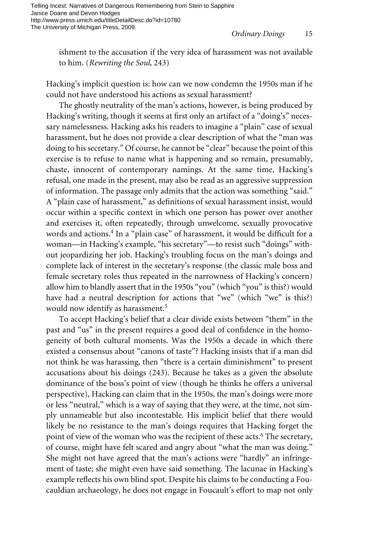ishment to the accusation if the very idea of harassment was not available to him. (*Rewriting the Soul,* 243)

Hacking's implicit question is: how can we now condemn the 1950s man if he could not have understood his actions as sexual harassment?

The ghostly neutrality of the man's actions, however, is being produced by Hacking's writing, though it seems at first only an artifact of a "doing's" necessary namelessness. Hacking asks his readers to imagine a "plain" case of sexual harassment, but he does not provide a clear description of what the "man was doing to his secretary." Of course, he cannot be "clear" because the point of this exercise is to refuse to name what is happening and so remain, presumably, chaste, innocent of contemporary namings. At the same time, Hacking's refusal, one made in the present, may also be read as an aggressive suppression of information. The passage only admits that the action was something "said." A "plain case of harassment," as definitions of sexual harassment insist, would occur within a specific context in which one person has power over another and exercises it, often repeatedly, through unwelcome, sexually provocative words and actions.<sup>4</sup> In a "plain case" of harassment, it would be difficult for a woman—in Hacking's example, "his secretary"—to resist such "doings" without jeopardizing her job. Hacking's troubling focus on the man's doings and complete lack of interest in the secretary's response (the classic male boss and female secretary roles thus repeated in the narrowness of Hacking's concern) allow him to blandly assert that in the 1950s "you" (which "you" is this?) would have had a neutral description for actions that "we" (which "we" is this?) would now identify as harassment.<sup>5</sup>

To accept Hacking's belief that a clear divide exists between "them" in the past and "us" in the present requires a good deal of confidence in the homogeneity of both cultural moments. Was the 1950s a decade in which there existed a consensus about "canons of taste"? Hacking insists that if a man did not think he was harassing, then "there is a certain diminishment" to present accusations about his doings (243). Because he takes as a given the absolute dominance of the boss's point of view (though he thinks he offers a universal perspective), Hacking can claim that in the 1950s, the man's doings were more or less "neutral," which is a way of saying that they were, at the time, not simply unnameable but also incontestable. His implicit belief that there would likely be no resistance to the man's doings requires that Hacking forget the point of view of the woman who was the recipient of these acts.<sup>6</sup> The secretary, of course, might have felt scared and angry about "what the man was doing." She might not have agreed that the man's actions were "hardly" an infringement of taste; she might even have said something. The lacunae in Hacking's example reflects his own blind spot. Despite his claims to be conducting a Foucauldian archaeology, he does not engage in Foucault's effort to map not only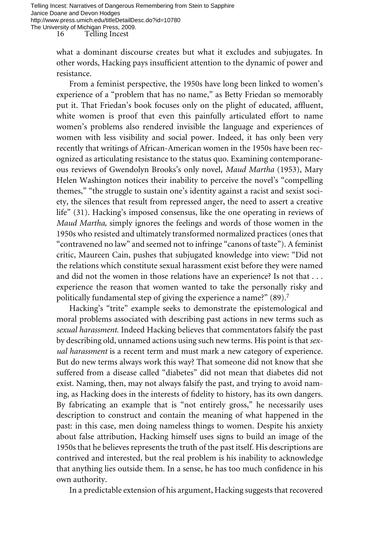what a dominant discourse creates but what it excludes and subjugates. In other words, Hacking pays insufficient attention to the dynamic of power and resistance.

From a feminist perspective, the 1950s have long been linked to women's experience of a "problem that has no name," as Betty Friedan so memorably put it. That Friedan's book focuses only on the plight of educated, affluent, white women is proof that even this painfully articulated effort to name women's problems also rendered invisible the language and experiences of women with less visibility and social power. Indeed, it has only been very recently that writings of African-American women in the 1950s have been recognized as articulating resistance to the status quo. Examining contemporaneous reviews of Gwendolyn Brooks's only novel, *Maud Martha* (1953), Mary Helen Washington notices their inability to perceive the novel's "compelling themes," "the struggle to sustain one's identity against a racist and sexist society, the silences that result from repressed anger, the need to assert a creative life" (31). Hacking's imposed consensus, like the one operating in reviews of *Maud Martha,* simply ignores the feelings and words of those women in the 1950s who resisted and ultimately transformed normalized practices (ones that "contravened no law" and seemed not to infringe "canons of taste"). A feminist critic, Maureen Cain, pushes that subjugated knowledge into view: "Did not the relations which constitute sexual harassment exist before they were named and did not the women in those relations have an experience? Is not that . . . experience the reason that women wanted to take the personally risky and politically fundamental step of giving the experience a name?" (89).7

Hacking's "trite" example seeks to demonstrate the epistemological and moral problems associated with describing past actions in new terms such as *sexual harassment.* Indeed Hacking believes that commentators falsify the past by describing old, unnamed actions using such new terms. His point is that *sexual harassment* is a recent term and must mark a new category of experience. But do new terms always work this way? That someone did not know that she suffered from a disease called "diabetes" did not mean that diabetes did not exist. Naming, then, may not always falsify the past, and trying to avoid naming, as Hacking does in the interests of fidelity to history, has its own dangers. By fabricating an example that is "not entirely gross," he necessarily uses description to construct and contain the meaning of what happened in the past: in this case, men doing nameless things to women. Despite his anxiety about false attribution, Hacking himself uses signs to build an image of the 1950s that he believes represents the truth of the past itself. His descriptions are contrived and interested, but the real problem is his inability to acknowledge that anything lies outside them. In a sense, he has too much confidence in his own authority.

In a predictable extension of his argument, Hacking suggests that recovered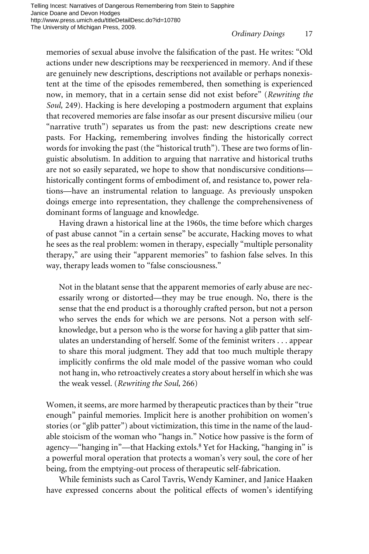memories of sexual abuse involve the falsification of the past. He writes: "Old actions under new descriptions may be reexperienced in memory. And if these are genuinely new descriptions, descriptions not available or perhaps nonexistent at the time of the episodes remembered, then something is experienced now, in memory, that in a certain sense did not exist before" (*Rewriting the Soul,* 249). Hacking is here developing a postmodern argument that explains that recovered memories are false insofar as our present discursive milieu (our "narrative truth") separates us from the past: new descriptions create new pasts. For Hacking, remembering involves finding the historically correct words for invoking the past (the "historical truth"). These are two forms of linguistic absolutism. In addition to arguing that narrative and historical truths are not so easily separated, we hope to show that nondiscursive conditions historically contingent forms of embodiment of, and resistance to, power relations—have an instrumental relation to language. As previously unspoken doings emerge into representation, they challenge the comprehensiveness of dominant forms of language and knowledge.

Having drawn a historical line at the 1960s, the time before which charges of past abuse cannot "in a certain sense" be accurate, Hacking moves to what he sees as the real problem: women in therapy, especially "multiple personality therapy," are using their "apparent memories" to fashion false selves. In this way, therapy leads women to "false consciousness."

Not in the blatant sense that the apparent memories of early abuse are necessarily wrong or distorted—they may be true enough. No, there is the sense that the end product is a thoroughly crafted person, but not a person who serves the ends for which we are persons. Not a person with selfknowledge, but a person who is the worse for having a glib patter that simulates an understanding of herself. Some of the feminist writers . . . appear to share this moral judgment. They add that too much multiple therapy implicitly confirms the old male model of the passive woman who could not hang in, who retroactively creates a story about herself in which she was the weak vessel. (*Rewriting the Soul,* 266)

Women, it seems, are more harmed by therapeutic practices than by their "true enough" painful memories. Implicit here is another prohibition on women's stories (or "glib patter") about victimization, this time in the name of the laudable stoicism of the woman who "hangs in." Notice how passive is the form of agency—"hanging in"—that Hacking extols.<sup>8</sup> Yet for Hacking, "hanging in" is a powerful moral operation that protects a woman's very soul, the core of her being, from the emptying-out process of therapeutic self-fabrication.

While feminists such as Carol Tavris, Wendy Kaminer, and Janice Haaken have expressed concerns about the political effects of women's identifying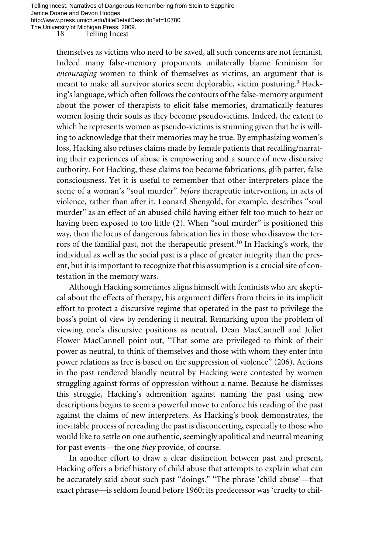themselves as victims who need to be saved, all such concerns are not feminist. Indeed many false-memory proponents unilaterally blame feminism for *encouraging* women to think of themselves as victims, an argument that is meant to make all survivor stories seem deplorable, victim posturing.<sup>9</sup> Hacking's language, which often follows the contours of the false-memory argument about the power of therapists to elicit false memories, dramatically features women losing their souls as they become pseudovictims. Indeed, the extent to which he represents women as pseudo-victims is stunning given that he is willing to acknowledge that their memories may be true. By emphasizing women's loss, Hacking also refuses claims made by female patients that recalling/narrating their experiences of abuse is empowering and a source of new discursive authority. For Hacking, these claims too become fabrications, glib patter, false consciousness. Yet it is useful to remember that other interpreters place the scene of a woman's "soul murder" *before* therapeutic intervention, in acts of violence, rather than after it. Leonard Shengold, for example, describes "soul murder" as an effect of an abused child having either felt too much to bear or having been exposed to too little (2). When "soul murder" is positioned this way, then the locus of dangerous fabrication lies in those who disavow the terrors of the familial past, not the therapeutic present.<sup>10</sup> In Hacking's work, the individual as well as the social past is a place of greater integrity than the present, but it is important to recognize that this assumption is a crucial site of contestation in the memory wars.

Although Hacking sometimes aligns himself with feminists who are skeptical about the effects of therapy, his argument differs from theirs in its implicit effort to protect a discursive regime that operated in the past to privilege the boss's point of view by rendering it neutral. Remarking upon the problem of viewing one's discursive positions as neutral, Dean MacCannell and Juliet Flower MacCannell point out, "That some are privileged to think of their power as neutral, to think of themselves and those with whom they enter into power relations as free is based on the suppression of violence" (206). Actions in the past rendered blandly neutral by Hacking were contested by women struggling against forms of oppression without a name. Because he dismisses this struggle, Hacking's admonition against naming the past using new descriptions begins to seem a powerful move to enforce his reading of the past against the claims of new interpreters. As Hacking's book demonstrates, the inevitable process of rereading the past is disconcerting, especially to those who would like to settle on one authentic, seemingly apolitical and neutral meaning for past events—the one *they* provide, of course.

In another effort to draw a clear distinction between past and present, Hacking offers a brief history of child abuse that attempts to explain what can be accurately said about such past "doings." "The phrase 'child abuse'—that exact phrase—is seldom found before 1960; its predecessor was 'cruelty to chil-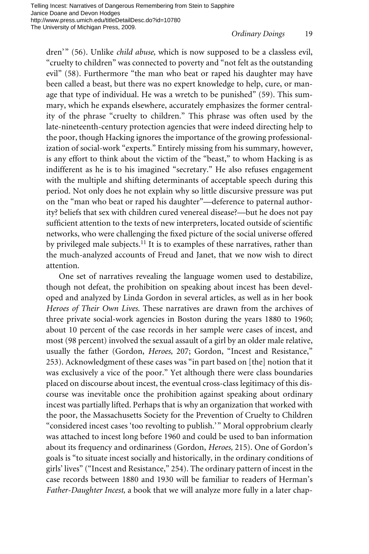dren'" (56). Unlike *child abuse,* which is now supposed to be a classless evil, "cruelty to children" was connected to poverty and "not felt as the outstanding evil" (58). Furthermore "the man who beat or raped his daughter may have been called a beast, but there was no expert knowledge to help, cure, or manage that type of individual. He was a wretch to be punished" (59). This summary, which he expands elsewhere, accurately emphasizes the former centrality of the phrase "cruelty to children." This phrase was often used by the late-nineteenth-century protection agencies that were indeed directing help to the poor, though Hacking ignores the importance of the growing professionalization of social-work "experts." Entirely missing from his summary, however, is any effort to think about the victim of the "beast," to whom Hacking is as indifferent as he is to his imagined "secretary." He also refuses engagement with the multiple and shifting determinants of acceptable speech during this period. Not only does he not explain why so little discursive pressure was put on the "man who beat or raped his daughter"—deference to paternal authority? beliefs that sex with children cured venereal disease?—but he does not pay sufficient attention to the texts of new interpreters, located outside of scientific networks, who were challenging the fixed picture of the social universe offered by privileged male subjects.<sup>11</sup> It is to examples of these narratives, rather than the much-analyzed accounts of Freud and Janet, that we now wish to direct attention.

One set of narratives revealing the language women used to destabilize, though not defeat, the prohibition on speaking about incest has been developed and analyzed by Linda Gordon in several articles, as well as in her book *Heroes of Their Own Lives.* These narratives are drawn from the archives of three private social-work agencies in Boston during the years 1880 to 1960; about 10 percent of the case records in her sample were cases of incest, and most (98 percent) involved the sexual assault of a girl by an older male relative, usually the father (Gordon, *Heroes,* 207; Gordon, "Incest and Resistance," 253). Acknowledgment of these cases was "in part based on [the] notion that it was exclusively a vice of the poor." Yet although there were class boundaries placed on discourse about incest, the eventual cross-class legitimacy of this discourse was inevitable once the prohibition against speaking about ordinary incest was partially lifted. Perhaps that is why an organization that worked with the poor, the Massachusetts Society for the Prevention of Cruelty to Children "considered incest cases 'too revolting to publish.'" Moral opprobrium clearly was attached to incest long before 1960 and could be used to ban information about its frequency and ordinariness (Gordon, *Heroes,* 215). One of Gordon's goals is "to situate incest socially and historically, in the ordinary conditions of girls' lives" ("Incest and Resistance," 254). The ordinary pattern of incest in the case records between 1880 and 1930 will be familiar to readers of Herman's *Father-Daughter Incest,* a book that we will analyze more fully in a later chap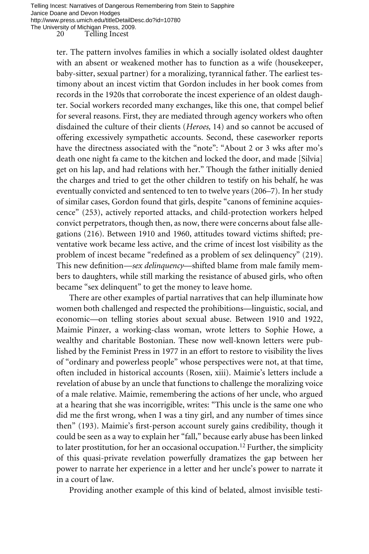Telling Incest: Narratives of Dangerous Remembering from Stein to Sapphire Janice Doane and Devon Hodges http://www.press.umich.edu/titleDetailDesc.do?id=10780 The University of Michigan Press, 2009.

20 Telling Incest

ter. The pattern involves families in which a socially isolated oldest daughter with an absent or weakened mother has to function as a wife (housekeeper, baby-sitter, sexual partner) for a moralizing, tyrannical father. The earliest testimony about an incest victim that Gordon includes in her book comes from records in the 1920s that corroborate the incest experience of an oldest daughter. Social workers recorded many exchanges, like this one, that compel belief for several reasons. First, they are mediated through agency workers who often disdained the culture of their clients (*Heroes,* 14) and so cannot be accused of offering excessively sympathetic accounts. Second, these caseworker reports have the directness associated with the "note": "About 2 or 3 wks after mo's death one night fa came to the kitchen and locked the door, and made [Silvia] get on his lap, and had relations with her." Though the father initially denied the charges and tried to get the other children to testify on his behalf, he was eventually convicted and sentenced to ten to twelve years (206–7). In her study of similar cases, Gordon found that girls, despite "canons of feminine acquiescence" (253), actively reported attacks, and child-protection workers helped convict perpetrators, though then, as now, there were concerns about false allegations (216). Between 1910 and 1960, attitudes toward victims shifted; preventative work became less active, and the crime of incest lost visibility as the problem of incest became "redefined as a problem of sex delinquency" (219). This new definition—sex delinquency—shifted blame from male family members to daughters, while still marking the resistance of abused girls, who often became "sex delinquent" to get the money to leave home.

There are other examples of partial narratives that can help illuminate how women both challenged and respected the prohibitions—linguistic, social, and economic—on telling stories about sexual abuse. Between 1910 and 1922, Maimie Pinzer, a working-class woman, wrote letters to Sophie Howe, a wealthy and charitable Bostonian. These now well-known letters were published by the Feminist Press in 1977 in an effort to restore to visibility the lives of "ordinary and powerless people" whose perspectives were not, at that time, often included in historical accounts (Rosen, xiii). Maimie's letters include a revelation of abuse by an uncle that functions to challenge the moralizing voice of a male relative. Maimie, remembering the actions of her uncle, who argued at a hearing that she was incorrigible, writes: "This uncle is the same one who did me the first wrong, when I was a tiny girl, and any number of times since then" (193). Maimie's first-person account surely gains credibility, though it could be seen as a way to explain her "fall," because early abuse has been linked to later prostitution, for her an occasional occupation.<sup>12</sup> Further, the simplicity of this quasi-private revelation powerfully dramatizes the gap between her power to narrate her experience in a letter and her uncle's power to narrate it in a court of law.

Providing another example of this kind of belated, almost invisible testi-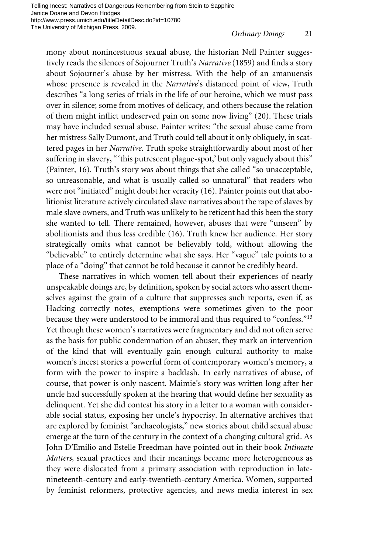mony about nonincestuous sexual abuse, the historian Nell Painter suggestively reads the silences of Sojourner Truth's *Narrative* (1859) and finds a story about Sojourner's abuse by her mistress. With the help of an amanuensis whose presence is revealed in the *Narrative*'s distanced point of view, Truth describes "a long series of trials in the life of our heroine, which we must pass over in silence; some from motives of delicacy, and others because the relation of them might inflict undeserved pain on some now living" (20). These trials may have included sexual abuse. Painter writes: "the sexual abuse came from her mistress Sally Dumont, and Truth could tell about it only obliquely, in scattered pages in her *Narrative.* Truth spoke straightforwardly about most of her suffering in slavery, "'this putrescent plague-spot,' but only vaguely about this" (Painter, 16). Truth's story was about things that she called "so unacceptable, so unreasonable, and what is usually called so unnatural" that readers who were not "initiated" might doubt her veracity (16). Painter points out that abolitionist literature actively circulated slave narratives about the rape of slaves by male slave owners, and Truth was unlikely to be reticent had this been the story she wanted to tell. There remained, however, abuses that were "unseen" by abolitionists and thus less credible (16). Truth knew her audience. Her story strategically omits what cannot be believably told, without allowing the "believable" to entirely determine what she says. Her "vague" tale points to a place of a "doing" that cannot be told because it cannot be credibly heard.

These narratives in which women tell about their experiences of nearly unspeakable doings are, by definition, spoken by social actors who assert themselves against the grain of a culture that suppresses such reports, even if, as Hacking correctly notes, exemptions were sometimes given to the poor because they were understood to be immoral and thus required to "confess."13 Yet though these women's narratives were fragmentary and did not often serve as the basis for public condemnation of an abuser, they mark an intervention of the kind that will eventually gain enough cultural authority to make women's incest stories a powerful form of contemporary women's memory, a form with the power to inspire a backlash. In early narratives of abuse, of course, that power is only nascent. Maimie's story was written long after her uncle had successfully spoken at the hearing that would define her sexuality as delinquent. Yet she did contest his story in a letter to a woman with considerable social status, exposing her uncle's hypocrisy. In alternative archives that are explored by feminist "archaeologists," new stories about child sexual abuse emerge at the turn of the century in the context of a changing cultural grid. As John D'Emilio and Estelle Freedman have pointed out in their book *Intimate Matters,* sexual practices and their meanings became more heterogeneous as they were dislocated from a primary association with reproduction in latenineteenth-century and early-twentieth-century America. Women, supported by feminist reformers, protective agencies, and news media interest in sex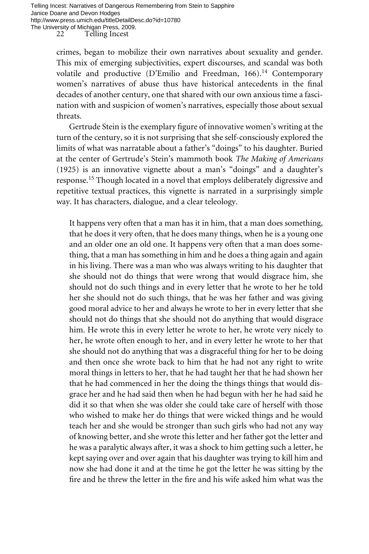crimes, began to mobilize their own narratives about sexuality and gender. This mix of emerging subjectivities, expert discourses, and scandal was both volatile and productive (D'Emilio and Freedman, 166).<sup>14</sup> Contemporary women's narratives of abuse thus have historical antecedents in the final decades of another century, one that shared with our own anxious time a fascination with and suspicion of women's narratives, especially those about sexual threats.

Gertrude Stein is the exemplary figure of innovative women's writing at the turn of the century, so it is not surprising that she self-consciously explored the limits of what was narratable about a father's "doings" to his daughter. Buried at the center of Gertrude's Stein's mammoth book *The Making of Americans* (1925) is an innovative vignette about a man's "doings" and a daughter's response.<sup>15</sup> Though located in a novel that employs deliberately digressive and repetitive textual practices, this vignette is narrated in a surprisingly simple way. It has characters, dialogue, and a clear teleology.

It happens very often that a man has it in him, that a man does something, that he does it very often, that he does many things, when he is a young one and an older one an old one. It happens very often that a man does something, that a man has something in him and he does a thing again and again in his living. There was a man who was always writing to his daughter that she should not do things that were wrong that would disgrace him, she should not do such things and in every letter that he wrote to her he told her she should not do such things, that he was her father and was giving good moral advice to her and always he wrote to her in every letter that she should not do things that she should not do anything that would disgrace him. He wrote this in every letter he wrote to her, he wrote very nicely to her, he wrote often enough to her, and in every letter he wrote to her that she should not do anything that was a disgraceful thing for her to be doing and then once she wrote back to him that he had not any right to write moral things in letters to her, that he had taught her that he had shown her that he had commenced in her the doing the things things that would disgrace her and he had said then when he had begun with her he had said he did it so that when she was older she could take care of herself with those who wished to make her do things that were wicked things and he would teach her and she would be stronger than such girls who had not any way of knowing better, and she wrote this letter and her father got the letter and he was a paralytic always after, it was a shock to him getting such a letter, he kept saying over and over again that his daughter was trying to kill him and now she had done it and at the time he got the letter he was sitting by the fire and he threw the letter in the fire and his wife asked him what was the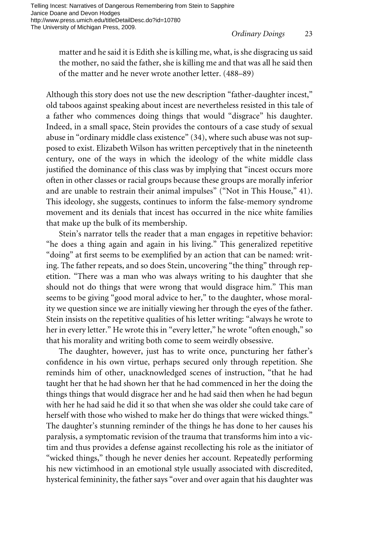matter and he said it is Edith she is killing me, what, is she disgracing us said the mother, no said the father, she is killing me and that was all he said then of the matter and he never wrote another letter. (488–89)

Although this story does not use the new description "father-daughter incest," old taboos against speaking about incest are nevertheless resisted in this tale of a father who commences doing things that would "disgrace" his daughter. Indeed, in a small space, Stein provides the contours of a case study of sexual abuse in "ordinary middle class existence" (34), where such abuse was not supposed to exist. Elizabeth Wilson has written perceptively that in the nineteenth century, one of the ways in which the ideology of the white middle class justified the dominance of this class was by implying that "incest occurs more often in other classes or racial groups because these groups are morally inferior and are unable to restrain their animal impulses" ("Not in This House," 41). This ideology, she suggests, continues to inform the false-memory syndrome movement and its denials that incest has occurred in the nice white families that make up the bulk of its membership.

Stein's narrator tells the reader that a man engages in repetitive behavior: "he does a thing again and again in his living." This generalized repetitive "doing" at first seems to be exemplified by an action that can be named: writing. The father repeats, and so does Stein, uncovering "the thing" through repetition. "There was a man who was always writing to his daughter that she should not do things that were wrong that would disgrace him." This man seems to be giving "good moral advice to her," to the daughter, whose morality we question since we are initially viewing her through the eyes of the father. Stein insists on the repetitive qualities of his letter writing: "always he wrote to her in every letter." He wrote this in "every letter," he wrote "often enough," so that his morality and writing both come to seem weirdly obsessive.

The daughter, however, just has to write once, puncturing her father's confidence in his own virtue, perhaps secured only through repetition. She reminds him of other, unacknowledged scenes of instruction, "that he had taught her that he had shown her that he had commenced in her the doing the things things that would disgrace her and he had said then when he had begun with her he had said he did it so that when she was older she could take care of herself with those who wished to make her do things that were wicked things." The daughter's stunning reminder of the things he has done to her causes his paralysis, a symptomatic revision of the trauma that transforms him into a victim and thus provides a defense against recollecting his role as the initiator of "wicked things," though he never denies her account. Repeatedly performing his new victimhood in an emotional style usually associated with discredited, hysterical femininity, the father says "over and over again that his daughter was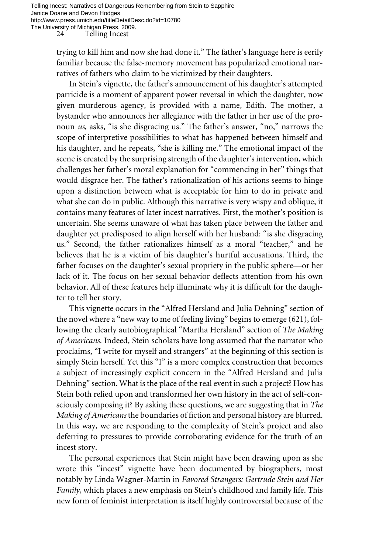trying to kill him and now she had done it." The father's language here is eerily familiar because the false-memory movement has popularized emotional narratives of fathers who claim to be victimized by their daughters.

In Stein's vignette, the father's announcement of his daughter's attempted parricide is a moment of apparent power reversal in which the daughter, now given murderous agency, is provided with a name, Edith. The mother, a bystander who announces her allegiance with the father in her use of the pronoun *us,* asks, "is she disgracing us." The father's answer, "no," narrows the scope of interpretive possibilities to what has happened between himself and his daughter, and he repeats, "she is killing me." The emotional impact of the scene is created by the surprising strength of the daughter's intervention, which challenges her father's moral explanation for "commencing in her" things that would disgrace her. The father's rationalization of his actions seems to hinge upon a distinction between what is acceptable for him to do in private and what she can do in public. Although this narrative is very wispy and oblique, it contains many features of later incest narratives. First, the mother's position is uncertain. She seems unaware of what has taken place between the father and daughter yet predisposed to align herself with her husband: "is she disgracing us." Second, the father rationalizes himself as a moral "teacher," and he believes that he is a victim of his daughter's hurtful accusations. Third, the father focuses on the daughter's sexual propriety in the public sphere—or her lack of it. The focus on her sexual behavior deflects attention from his own behavior. All of these features help illuminate why it is difficult for the daughter to tell her story.

This vignette occurs in the "Alfred Hersland and Julia Dehning" section of the novel where a "new way to me of feeling living" begins to emerge (621), following the clearly autobiographical "Martha Hersland" section of *The Making of Americans.* Indeed, Stein scholars have long assumed that the narrator who proclaims, "I write for myself and strangers" at the beginning of this section is simply Stein herself. Yet this "I" is a more complex construction that becomes a subject of increasingly explicit concern in the "Alfred Hersland and Julia Dehning" section. What is the place of the real event in such a project? How has Stein both relied upon and transformed her own history in the act of self-consciously composing it? By asking these questions, we are suggesting that in *The Making of Americans* the boundaries of fiction and personal history are blurred. In this way, we are responding to the complexity of Stein's project and also deferring to pressures to provide corroborating evidence for the truth of an incest story.

The personal experiences that Stein might have been drawing upon as she wrote this "incest" vignette have been documented by biographers, most notably by Linda Wagner-Martin in *Favored Strangers: Gertrude Stein and Her Family,* which places a new emphasis on Stein's childhood and family life. This new form of feminist interpretation is itself highly controversial because of the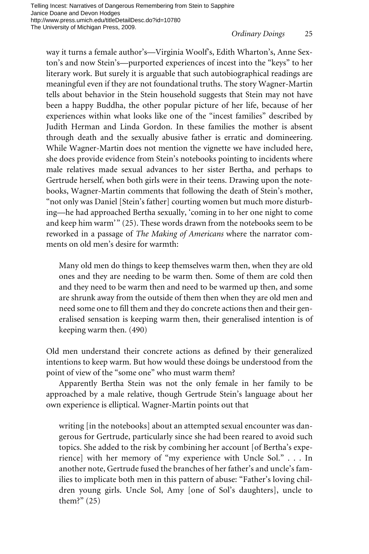way it turns a female author's—Virginia Woolf's, Edith Wharton's, Anne Sexton's and now Stein's—purported experiences of incest into the "keys" to her literary work. But surely it is arguable that such autobiographical readings are meaningful even if they are not foundational truths. The story Wagner-Martin tells about behavior in the Stein household suggests that Stein may not have been a happy Buddha, the other popular picture of her life, because of her experiences within what looks like one of the "incest families" described by Judith Herman and Linda Gordon. In these families the mother is absent through death and the sexually abusive father is erratic and domineering. While Wagner-Martin does not mention the vignette we have included here, she does provide evidence from Stein's notebooks pointing to incidents where male relatives made sexual advances to her sister Bertha, and perhaps to Gertrude herself, when both girls were in their teens. Drawing upon the notebooks, Wagner-Martin comments that following the death of Stein's mother, "not only was Daniel [Stein's father] courting women but much more disturbing—he had approached Bertha sexually, 'coming in to her one night to come and keep him warm'" (25). These words drawn from the notebooks seem to be reworked in a passage of *The Making of Americans* where the narrator comments on old men's desire for warmth:

Many old men do things to keep themselves warm then, when they are old ones and they are needing to be warm then. Some of them are cold then and they need to be warm then and need to be warmed up then, and some are shrunk away from the outside of them then when they are old men and need some one to fill them and they do concrete actions then and their generalised sensation is keeping warm then, their generalised intention is of keeping warm then. (490)

Old men understand their concrete actions as defined by their generalized intentions to keep warm. But how would these doings be understood from the point of view of the "some one" who must warm them?

Apparently Bertha Stein was not the only female in her family to be approached by a male relative, though Gertrude Stein's language about her own experience is elliptical. Wagner-Martin points out that

writing [in the notebooks] about an attempted sexual encounter was dangerous for Gertrude, particularly since she had been reared to avoid such topics. She added to the risk by combining her account [of Bertha's experience] with her memory of "my experience with Uncle Sol." . . . In another note, Gertrude fused the branches of her father's and uncle's families to implicate both men in this pattern of abuse: "Father's loving children young girls. Uncle Sol, Amy [one of Sol's daughters], uncle to them?" (25)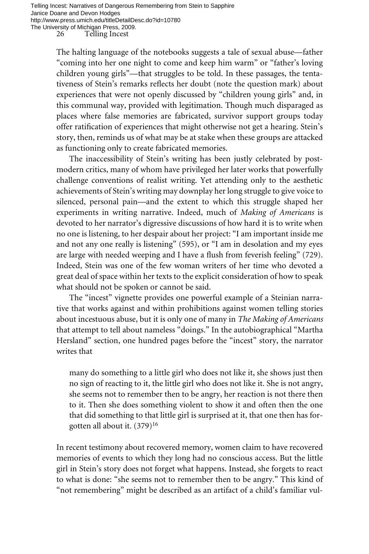The halting language of the notebooks suggests a tale of sexual abuse—father "coming into her one night to come and keep him warm" or "father's loving children young girls"—that struggles to be told. In these passages, the tentativeness of Stein's remarks reflects her doubt (note the question mark) about experiences that were not openly discussed by "children young girls" and, in this communal way, provided with legitimation. Though much disparaged as places where false memories are fabricated, survivor support groups today offer ratification of experiences that might otherwise not get a hearing. Stein's story, then, reminds us of what may be at stake when these groups are attacked as functioning only to create fabricated memories.

The inaccessibility of Stein's writing has been justly celebrated by postmodern critics, many of whom have privileged her later works that powerfully challenge conventions of realist writing. Yet attending only to the aesthetic achievements of Stein's writing may downplay her long struggle to give voice to silenced, personal pain—and the extent to which this struggle shaped her experiments in writing narrative. Indeed, much of *Making of Americans* is devoted to her narrator's digressive discussions of how hard it is to write when no one is listening, to her despair about her project: "I am important inside me and not any one really is listening" (595), or "I am in desolation and my eyes are large with needed weeping and I have a flush from feverish feeling" (729). Indeed, Stein was one of the few woman writers of her time who devoted a great deal of space within her texts to the explicit consideration of how to speak what should not be spoken or cannot be said.

The "incest" vignette provides one powerful example of a Steinian narrative that works against and within prohibitions against women telling stories about incestuous abuse, but it is only one of many in *The Making of Americans* that attempt to tell about nameless "doings." In the autobiographical "Martha Hersland" section, one hundred pages before the "incest" story, the narrator writes that

many do something to a little girl who does not like it, she shows just then no sign of reacting to it, the little girl who does not like it. She is not angry, she seems not to remember then to be angry, her reaction is not there then to it. Then she does something violent to show it and often then the one that did something to that little girl is surprised at it, that one then has forgotten all about it. (379)16

In recent testimony about recovered memory, women claim to have recovered memories of events to which they long had no conscious access. But the little girl in Stein's story does not forget what happens. Instead, she forgets to react to what is done: "she seems not to remember then to be angry." This kind of "not remembering" might be described as an artifact of a child's familiar vul-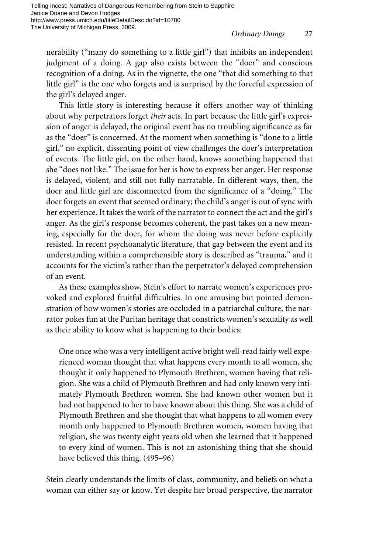nerability ("many do something to a little girl") that inhibits an independent judgment of a doing. A gap also exists between the "doer" and conscious recognition of a doing. As in the vignette, the one "that did something to that little girl" is the one who forgets and is surprised by the forceful expression of the girl's delayed anger.

This little story is interesting because it offers another way of thinking about why perpetrators forget *their* acts. In part because the little girl's expression of anger is delayed, the original event has no troubling significance as far as the "doer" is concerned. At the moment when something is "done to a little girl," no explicit, dissenting point of view challenges the doer's interpretation of events. The little girl, on the other hand, knows something happened that she "does not like." The issue for her is how to express her anger. Her response is delayed, violent, and still not fully narratable. In different ways, then, the doer and little girl are disconnected from the significance of a "doing." The doer forgets an event that seemed ordinary; the child's anger is out of sync with her experience. It takes the work of the narrator to connect the act and the girl's anger. As the girl's response becomes coherent, the past takes on a new meaning, especially for the doer, for whom the doing was never before explicitly resisted. In recent psychoanalytic literature, that gap between the event and its understanding within a comprehensible story is described as "trauma," and it accounts for the victim's rather than the perpetrator's delayed comprehension of an event.

As these examples show, Stein's effort to narrate women's experiences provoked and explored fruitful difficulties. In one amusing but pointed demonstration of how women's stories are occluded in a patriarchal culture, the narrator pokes fun at the Puritan heritage that constricts women's sexuality as well as their ability to know what is happening to their bodies:

One once who was a very intelligent active bright well-read fairly well experienced woman thought that what happens every month to all women, she thought it only happened to Plymouth Brethren, women having that religion. She was a child of Plymouth Brethren and had only known very intimately Plymouth Brethren women. She had known other women but it had not happened to her to have known about this thing. She was a child of Plymouth Brethren and she thought that what happens to all women every month only happened to Plymouth Brethren women, women having that religion, she was twenty eight years old when she learned that it happened to every kind of women. This is not an astonishing thing that she should have believed this thing. (495–96)

Stein clearly understands the limits of class, community, and beliefs on what a woman can either say or know. Yet despite her broad perspective, the narrator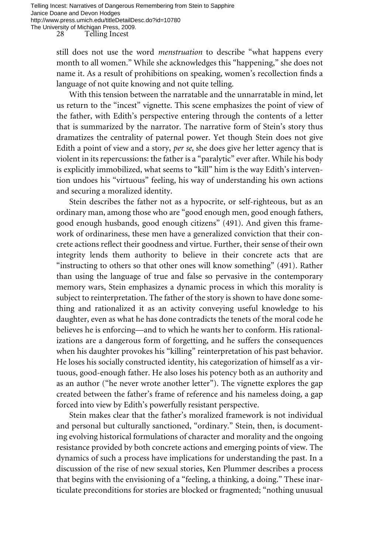still does not use the word *menstruation* to describe "what happens every month to all women." While she acknowledges this "happening," she does not name it. As a result of prohibitions on speaking, women's recollection finds a language of not quite knowing and not quite telling.

With this tension between the narratable and the unnarratable in mind, let us return to the "incest" vignette. This scene emphasizes the point of view of the father, with Edith's perspective entering through the contents of a letter that is summarized by the narrator. The narrative form of Stein's story thus dramatizes the centrality of paternal power. Yet though Stein does not give Edith a point of view and a story, *per se,* she does give her letter agency that is violent in its repercussions: the father is a "paralytic" ever after. While his body is explicitly immobilized, what seems to "kill" him is the way Edith's intervention undoes his "virtuous" feeling, his way of understanding his own actions and securing a moralized identity.

Stein describes the father not as a hypocrite, or self-righteous, but as an ordinary man, among those who are "good enough men, good enough fathers, good enough husbands, good enough citizens" (491). And given this framework of ordinariness, these men have a generalized conviction that their concrete actions reflect their goodness and virtue. Further, their sense of their own integrity lends them authority to believe in their concrete acts that are "instructing to others so that other ones will know something" (491). Rather than using the language of true and false so pervasive in the contemporary memory wars, Stein emphasizes a dynamic process in which this morality is subject to reinterpretation. The father of the story is shown to have done something and rationalized it as an activity conveying useful knowledge to his daughter, even as what he has done contradicts the tenets of the moral code he believes he is enforcing—and to which he wants her to conform. His rationalizations are a dangerous form of forgetting, and he suffers the consequences when his daughter provokes his "killing" reinterpretation of his past behavior. He loses his socially constructed identity, his categorization of himself as a virtuous, good-enough father. He also loses his potency both as an authority and as an author ("he never wrote another letter"). The vignette explores the gap created between the father's frame of reference and his nameless doing, a gap forced into view by Edith's powerfully resistant perspective.

Stein makes clear that the father's moralized framework is not individual and personal but culturally sanctioned, "ordinary." Stein, then, is documenting evolving historical formulations of character and morality and the ongoing resistance provided by both concrete actions and emerging points of view. The dynamics of such a process have implications for understanding the past. In a discussion of the rise of new sexual stories, Ken Plummer describes a process that begins with the envisioning of a "feeling, a thinking, a doing." These inarticulate preconditions for stories are blocked or fragmented; "nothing unusual